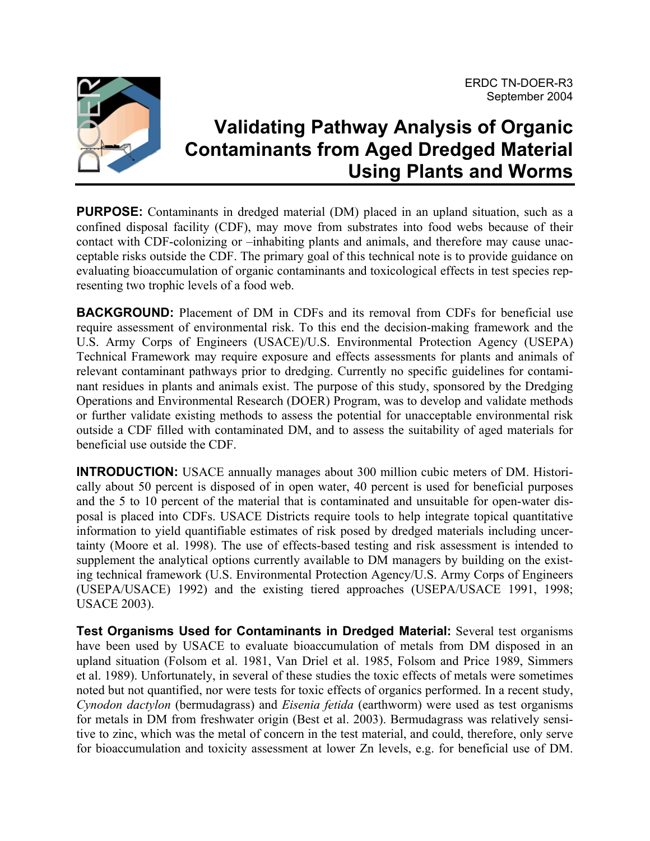

# **Validating Pathway Analysis of Organic Contaminants from Aged Dredged Material Using Plants and Worms**

**PURPOSE:** Contaminants in dredged material (DM) placed in an upland situation, such as a confined disposal facility (CDF), may move from substrates into food webs because of their contact with CDF-colonizing or –inhabiting plants and animals, and therefore may cause unacceptable risks outside the CDF. The primary goal of this technical note is to provide guidance on evaluating bioaccumulation of organic contaminants and toxicological effects in test species representing two trophic levels of a food web.

**BACKGROUND:** Placement of DM in CDFs and its removal from CDFs for beneficial use require assessment of environmental risk. To this end the decision-making framework and the U.S. Army Corps of Engineers (USACE)/U.S. Environmental Protection Agency (USEPA) Technical Framework may require exposure and effects assessments for plants and animals of relevant contaminant pathways prior to dredging. Currently no specific guidelines for contaminant residues in plants and animals exist. The purpose of this study, sponsored by the Dredging Operations and Environmental Research (DOER) Program, was to develop and validate methods or further validate existing methods to assess the potential for unacceptable environmental risk outside a CDF filled with contaminated DM, and to assess the suitability of aged materials for beneficial use outside the CDF.

**INTRODUCTION:** USACE annually manages about 300 million cubic meters of DM. Historically about 50 percent is disposed of in open water, 40 percent is used for beneficial purposes and the 5 to 10 percent of the material that is contaminated and unsuitable for open-water disposal is placed into CDFs. USACE Districts require tools to help integrate topical quantitative information to yield quantifiable estimates of risk posed by dredged materials including uncertainty (Moore et al. 1998). The use of effects-based testing and risk assessment is intended to supplement the analytical options currently available to DM managers by building on the existing technical framework (U.S. Environmental Protection Agency/U.S. Army Corps of Engineers (USEPA/USACE) 1992) and the existing tiered approaches (USEPA/USACE 1991, 1998; USACE 2003).

**Test Organisms Used for Contaminants in Dredged Material:** Several test organisms have been used by USACE to evaluate bioaccumulation of metals from DM disposed in an upland situation (Folsom et al. 1981, Van Driel et al. 1985, Folsom and Price 1989, Simmers et al. 1989). Unfortunately, in several of these studies the toxic effects of metals were sometimes noted but not quantified, nor were tests for toxic effects of organics performed. In a recent study, *Cynodon dactylon* (bermudagrass) and *Eisenia fetida* (earthworm) were used as test organisms for metals in DM from freshwater origin (Best et al. 2003). Bermudagrass was relatively sensitive to zinc, which was the metal of concern in the test material, and could, therefore, only serve for bioaccumulation and toxicity assessment at lower Zn levels, e.g. for beneficial use of DM.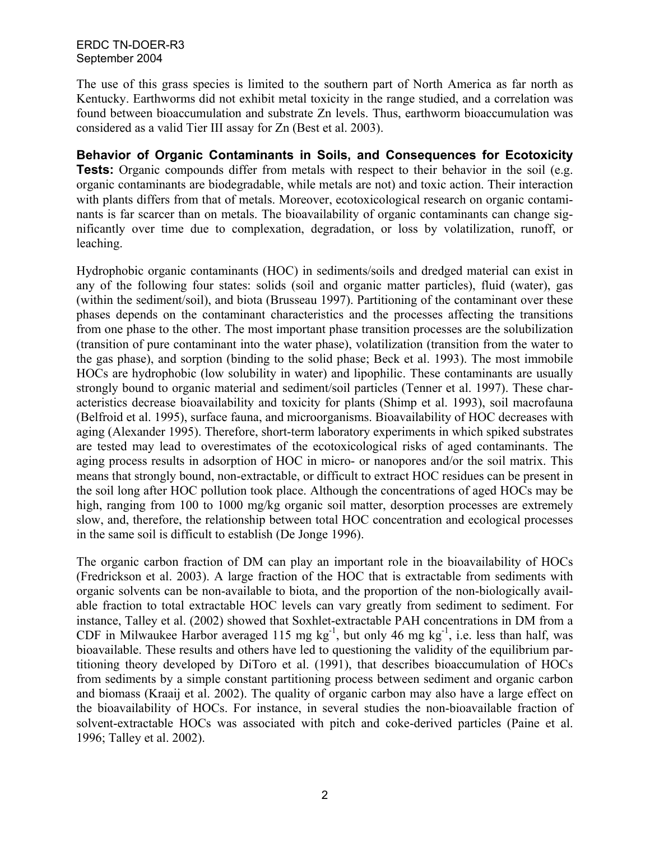The use of this grass species is limited to the southern part of North America as far north as Kentucky. Earthworms did not exhibit metal toxicity in the range studied, and a correlation was found between bioaccumulation and substrate Zn levels. Thus, earthworm bioaccumulation was considered as a valid Tier III assay for Zn (Best et al. 2003).

**Behavior of Organic Contaminants in Soils, and Consequences for Ecotoxicity Tests:** Organic compounds differ from metals with respect to their behavior in the soil (e.g. organic contaminants are biodegradable, while metals are not) and toxic action. Their interaction with plants differs from that of metals. Moreover, ecotoxicological research on organic contaminants is far scarcer than on metals. The bioavailability of organic contaminants can change significantly over time due to complexation, degradation, or loss by volatilization, runoff, or leaching.

Hydrophobic organic contaminants (HOC) in sediments/soils and dredged material can exist in any of the following four states: solids (soil and organic matter particles), fluid (water), gas (within the sediment/soil), and biota (Brusseau 1997). Partitioning of the contaminant over these phases depends on the contaminant characteristics and the processes affecting the transitions from one phase to the other. The most important phase transition processes are the solubilization (transition of pure contaminant into the water phase), volatilization (transition from the water to the gas phase), and sorption (binding to the solid phase; Beck et al. 1993). The most immobile HOCs are hydrophobic (low solubility in water) and lipophilic. These contaminants are usually strongly bound to organic material and sediment/soil particles (Tenner et al. 1997). These characteristics decrease bioavailability and toxicity for plants (Shimp et al. 1993), soil macrofauna (Belfroid et al. 1995), surface fauna, and microorganisms. Bioavailability of HOC decreases with aging (Alexander 1995). Therefore, short-term laboratory experiments in which spiked substrates are tested may lead to overestimates of the ecotoxicological risks of aged contaminants. The aging process results in adsorption of HOC in micro- or nanopores and/or the soil matrix. This means that strongly bound, non-extractable, or difficult to extract HOC residues can be present in the soil long after HOC pollution took place. Although the concentrations of aged HOCs may be high, ranging from 100 to 1000 mg/kg organic soil matter, desorption processes are extremely slow, and, therefore, the relationship between total HOC concentration and ecological processes in the same soil is difficult to establish (De Jonge 1996).

The organic carbon fraction of DM can play an important role in the bioavailability of HOCs (Fredrickson et al. 2003). A large fraction of the HOC that is extractable from sediments with organic solvents can be non-available to biota, and the proportion of the non-biologically available fraction to total extractable HOC levels can vary greatly from sediment to sediment. For instance, Talley et al. (2002) showed that Soxhlet-extractable PAH concentrations in DM from a CDF in Milwaukee Harbor averaged 115 mg  $kg^{-1}$ , but only 46 mg  $kg^{-1}$ , i.e. less than half, was bioavailable. These results and others have led to questioning the validity of the equilibrium partitioning theory developed by DiToro et al. (1991), that describes bioaccumulation of HOCs from sediments by a simple constant partitioning process between sediment and organic carbon and biomass (Kraaij et al. 2002). The quality of organic carbon may also have a large effect on the bioavailability of HOCs. For instance, in several studies the non-bioavailable fraction of solvent-extractable HOCs was associated with pitch and coke-derived particles (Paine et al. 1996; Talley et al. 2002).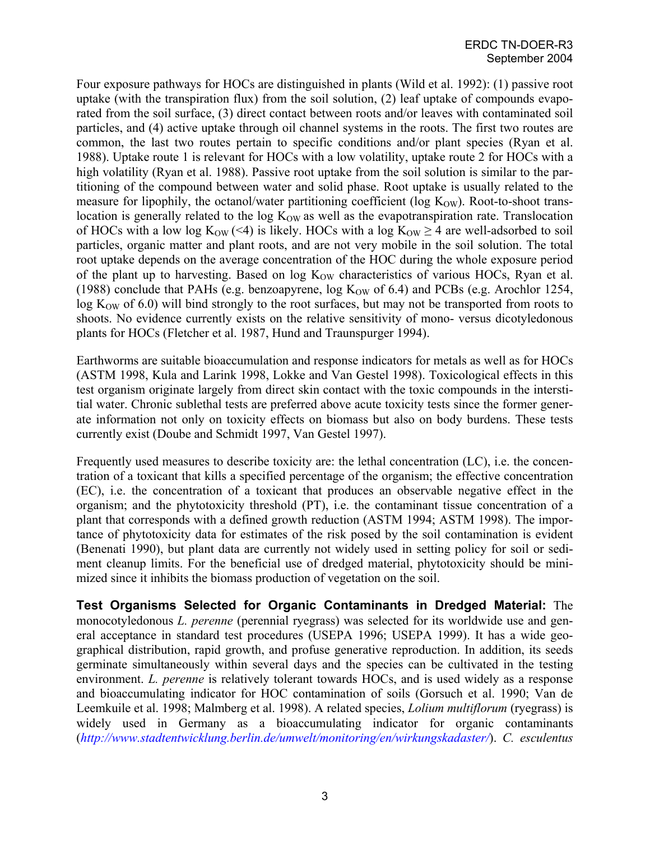Four exposure pathways for HOCs are distinguished in plants (Wild et al. 1992): (1) passive root uptake (with the transpiration flux) from the soil solution, (2) leaf uptake of compounds evaporated from the soil surface, (3) direct contact between roots and/or leaves with contaminated soil particles, and (4) active uptake through oil channel systems in the roots. The first two routes are common, the last two routes pertain to specific conditions and/or plant species (Ryan et al. 1988). Uptake route 1 is relevant for HOCs with a low volatility, uptake route 2 for HOCs with a high volatility (Ryan et al. 1988). Passive root uptake from the soil solution is similar to the partitioning of the compound between water and solid phase. Root uptake is usually related to the measure for lipophily, the octanol/water partitioning coefficient ( $log K<sub>OW</sub>$ ). Root-to-shoot translocation is generally related to the  $log K<sub>OW</sub>$  as well as the evapotranspiration rate. Translocation of HOCs with a low log  $K_{OW}$  (<4) is likely. HOCs with a log  $K_{OW} \ge 4$  are well-adsorbed to soil particles, organic matter and plant roots, and are not very mobile in the soil solution. The total root uptake depends on the average concentration of the HOC during the whole exposure period of the plant up to harvesting. Based on  $log K<sub>OW</sub>$  characteristics of various HOCs, Ryan et al. (1988) conclude that PAHs (e.g. benzoapyrene,  $log K_{OW}$  of 6.4) and PCBs (e.g. Arochlor 1254,  $\log K_{\text{OW}}$  of 6.0) will bind strongly to the root surfaces, but may not be transported from roots to shoots. No evidence currently exists on the relative sensitivity of mono- versus dicotyledonous plants for HOCs (Fletcher et al. 1987, Hund and Traunspurger 1994).

Earthworms are suitable bioaccumulation and response indicators for metals as well as for HOCs (ASTM 1998, Kula and Larink 1998, Lokke and Van Gestel 1998). Toxicological effects in this test organism originate largely from direct skin contact with the toxic compounds in the interstitial water. Chronic sublethal tests are preferred above acute toxicity tests since the former generate information not only on toxicity effects on biomass but also on body burdens. These tests currently exist (Doube and Schmidt 1997, Van Gestel 1997).

Frequently used measures to describe toxicity are: the lethal concentration (LC), i.e. the concentration of a toxicant that kills a specified percentage of the organism; the effective concentration (EC), i.e. the concentration of a toxicant that produces an observable negative effect in the organism; and the phytotoxicity threshold (PT), i.e. the contaminant tissue concentration of a plant that corresponds with a defined growth reduction (ASTM 1994; ASTM 1998). The importance of phytotoxicity data for estimates of the risk posed by the soil contamination is evident (Benenati 1990), but plant data are currently not widely used in setting policy for soil or sediment cleanup limits. For the beneficial use of dredged material, phytotoxicity should be minimized since it inhibits the biomass production of vegetation on the soil.

**Test Organisms Selected for Organic Contaminants in Dredged Material:** The monocotyledonous *L. perenne* (perennial ryegrass) was selected for its worldwide use and general acceptance in standard test procedures (USEPA 1996; USEPA 1999). It has a wide geographical distribution, rapid growth, and profuse generative reproduction. In addition, its seeds germinate simultaneously within several days and the species can be cultivated in the testing environment. *L. perenne* is relatively tolerant towards HOCs, and is used widely as a response and bioaccumulating indicator for HOC contamination of soils (Gorsuch et al. 1990; Van de Leemkuile et al. 1998; Malmberg et al. 1998). A related species, *Lolium multiflorum* (ryegrass) is widely used in Germany as a bioaccumulating indicator for organic contaminants (*<http://www.stadtentwicklung.berlin.de/umwelt/monitoring/en/wirkungskadaster/>*). *C. esculentus*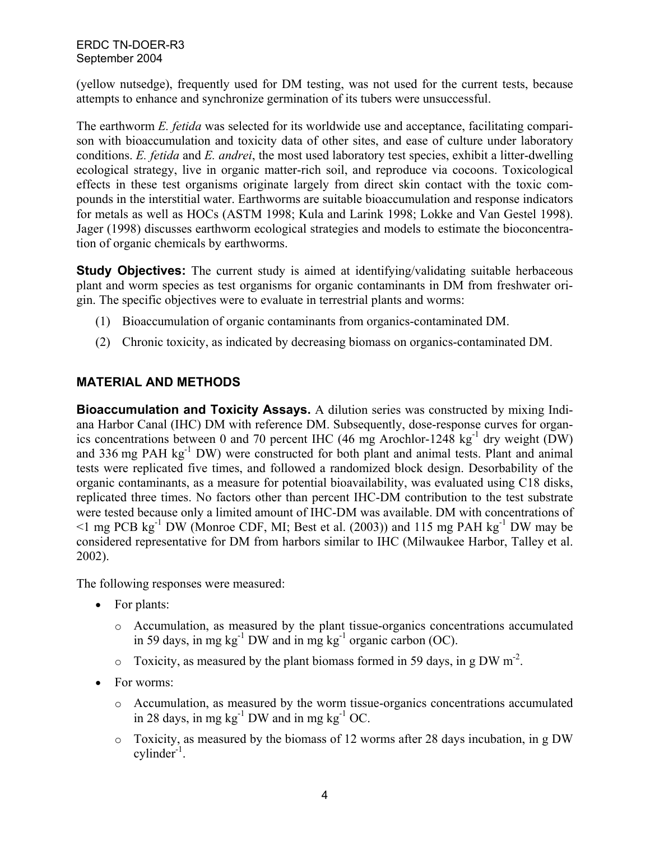(yellow nutsedge), frequently used for DM testing, was not used for the current tests, because attempts to enhance and synchronize germination of its tubers were unsuccessful.

The earthworm *E. fetida* was selected for its worldwide use and acceptance, facilitating comparison with bioaccumulation and toxicity data of other sites, and ease of culture under laboratory conditions. *E. fetida* and *E. andrei*, the most used laboratory test species, exhibit a litter-dwelling ecological strategy, live in organic matter-rich soil, and reproduce via cocoons. Toxicological effects in these test organisms originate largely from direct skin contact with the toxic compounds in the interstitial water. Earthworms are suitable bioaccumulation and response indicators for metals as well as HOCs (ASTM 1998; Kula and Larink 1998; Lokke and Van Gestel 1998). Jager (1998) discusses earthworm ecological strategies and models to estimate the bioconcentration of organic chemicals by earthworms.

**Study Objectives:** The current study is aimed at identifying/validating suitable herbaceous plant and worm species as test organisms for organic contaminants in DM from freshwater origin. The specific objectives were to evaluate in terrestrial plants and worms:

- (1) Bioaccumulation of organic contaminants from organics-contaminated DM.
- (2) Chronic toxicity, as indicated by decreasing biomass on organics-contaminated DM.

## **MATERIAL AND METHODS**

**Bioaccumulation and Toxicity Assays.** A dilution series was constructed by mixing Indiana Harbor Canal (IHC) DM with reference DM. Subsequently, dose-response curves for organics concentrations between 0 and 70 percent IHC (46 mg Arochlor-1248 kg<sup>-1</sup> dry weight (DW) and 336 mg PAH  $\text{kg}^{-1}$  DW) were constructed for both plant and animal tests. Plant and animal tests were replicated five times, and followed a randomized block design. Desorbability of the organic contaminants, as a measure for potential bioavailability, was evaluated using C18 disks, replicated three times. No factors other than percent IHC-DM contribution to the test substrate were tested because only a limited amount of IHC-DM was available. DM with concentrations of  $\leq$ 1 mg PCB kg<sup>-1</sup> DW (Monroe CDF, MI; Best et al. (2003)) and 115 mg PAH kg<sup>-1</sup> DW may be considered representative for DM from harbors similar to IHC (Milwaukee Harbor, Talley et al. 2002).

The following responses were measured:

- For plants:
	- o Accumulation, as measured by the plant tissue-organics concentrations accumulated in 59 days, in mg kg<sup>-1</sup> DW and in mg kg<sup>-1</sup> organic carbon (OC).
	- $\circ$  Toxicity, as measured by the plant biomass formed in 59 days, in g DW m<sup>-2</sup>.
- For worms:
	- o Accumulation, as measured by the worm tissue-organics concentrations accumulated in 28 days, in mg kg $^{-1}$  DW and in mg kg $^{-1}$  OC.
	- o Toxicity, as measured by the biomass of 12 worms after 28 days incubation, in g DW  $cylinder<sup>-1</sup>$ .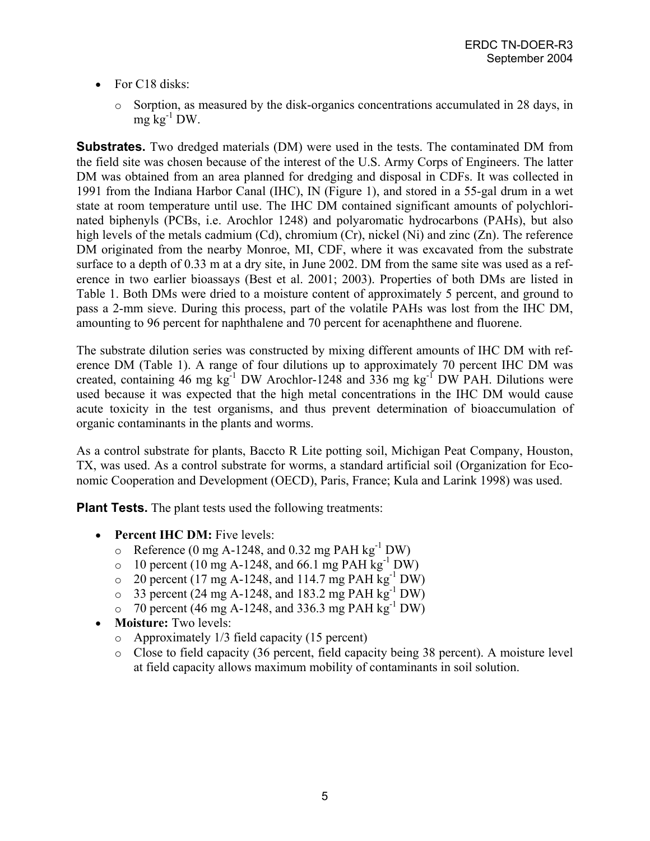- For C18 disks:
	- o Sorption, as measured by the disk-organics concentrations accumulated in 28 days, in mg  $kg^{-1}$  DW.

**Substrates.** Two dredged materials (DM) were used in the tests. The contaminated DM from the field site was chosen because of the interest of the U.S. Army Corps of Engineers. The latter DM was obtained from an area planned for dredging and disposal in CDFs. It was collected in 1991 from the Indiana Harbor Canal (IHC), IN (Figure 1), and stored in a 55-gal drum in a wet state at room temperature until use. The IHC DM contained significant amounts of polychlorinated biphenyls (PCBs, i.e. Arochlor 1248) and polyaromatic hydrocarbons (PAHs), but also high levels of the metals cadmium (Cd), chromium (Cr), nickel (Ni) and zinc (Zn). The reference DM originated from the nearby Monroe, MI, CDF, where it was excavated from the substrate surface to a depth of 0.33 m at a dry site, in June 2002. DM from the same site was used as a reference in two earlier bioassays (Best et al. 2001; 2003). Properties of both DMs are listed in Table 1. Both DMs were dried to a moisture content of approximately 5 percent, and ground to pass a 2-mm sieve. During this process, part of the volatile PAHs was lost from the IHC DM, amounting to 96 percent for naphthalene and 70 percent for acenaphthene and fluorene.

The substrate dilution series was constructed by mixing different amounts of IHC DM with reference DM (Table 1). A range of four dilutions up to approximately 70 percent IHC DM was created, containing 46 mg  $kg^{-1}$  DW Arochlor-1248 and 336 mg  $kg^{-1}$  DW PAH. Dilutions were used because it was expected that the high metal concentrations in the IHC DM would cause acute toxicity in the test organisms, and thus prevent determination of bioaccumulation of organic contaminants in the plants and worms.

As a control substrate for plants, Baccto R Lite potting soil, Michigan Peat Company, Houston, TX, was used. As a control substrate for worms, a standard artificial soil (Organization for Economic Cooperation and Development (OECD), Paris, France; Kula and Larink 1998) was used.

**Plant Tests.** The plant tests used the following treatments:

- **Percent IHC DM:** Five levels:
	- $\circ$  Reference (0 mg A-1248, and 0.32 mg PAH kg<sup>-1</sup> DW)
	- $\circ$  10 percent (10 mg A-1248, and 66.1 mg PAH kg<sup>-1</sup> DW)
	- $\circ$  20 percent (17 mg A-1248, and 114.7 mg PAH kg<sup>-1</sup> DW)
	- $\circ$  33 percent (24 mg A-1248, and 183.2 mg PAH kg<sup>-1</sup> DW)
	- $\circ$  70 percent (46 mg A-1248, and 336.3 mg PAH kg<sup>-1</sup> DW)
- **Moisture:** Two levels:
	- o Approximately 1/3 field capacity (15 percent)
	- o Close to field capacity (36 percent, field capacity being 38 percent). A moisture level at field capacity allows maximum mobility of contaminants in soil solution.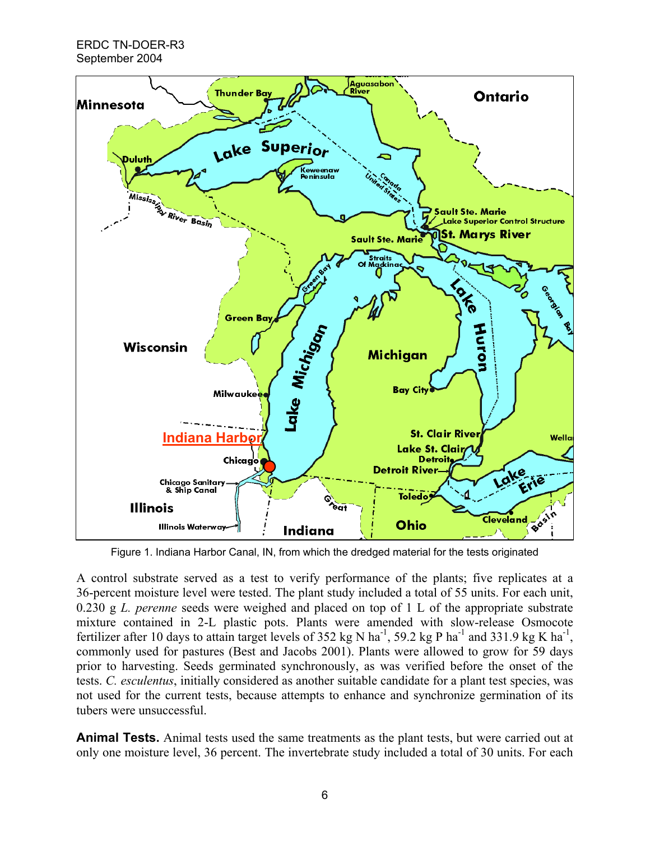

Figure 1. Indiana Harbor Canal, IN, from which the dredged material for the tests originated

A control substrate served as a test to verify performance of the plants; five replicates at a 36-percent moisture level were tested. The plant study included a total of 55 units. For each unit, 0.230 g *L. perenne* seeds were weighed and placed on top of 1 L of the appropriate substrate mixture contained in 2-L plastic pots. Plants were amended with slow-release Osmocote fertilizer after 10 days to attain target levels of 352 kg N ha<sup>-1</sup>, 59.2 kg P ha<sup>-1</sup> and 331.9 kg K ha<sup>-1</sup>, commonly used for pastures (Best and Jacobs 2001). Plants were allowed to grow for 59 days prior to harvesting. Seeds germinated synchronously, as was verified before the onset of the tests. *C. esculentus*, initially considered as another suitable candidate for a plant test species, was not used for the current tests, because attempts to enhance and synchronize germination of its tubers were unsuccessful.

**Animal Tests.** Animal tests used the same treatments as the plant tests, but were carried out at only one moisture level, 36 percent. The invertebrate study included a total of 30 units. For each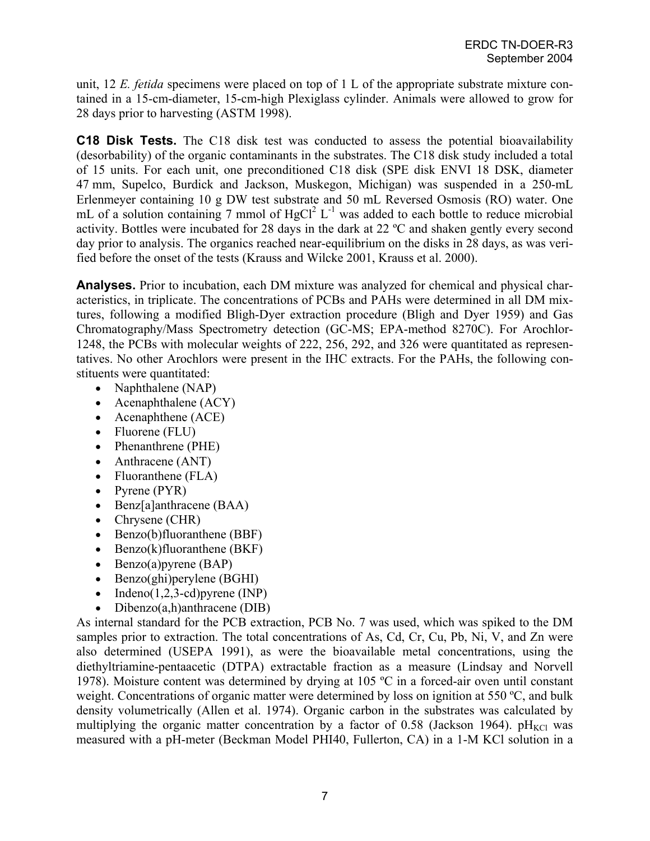unit, 12 *E. fetida* specimens were placed on top of 1 L of the appropriate substrate mixture contained in a 15-cm-diameter, 15-cm-high Plexiglass cylinder. Animals were allowed to grow for 28 days prior to harvesting (ASTM 1998).

**C18 Disk Tests.** The C18 disk test was conducted to assess the potential bioavailability (desorbability) of the organic contaminants in the substrates. The C18 disk study included a total of 15 units. For each unit, one preconditioned C18 disk (SPE disk ENVI 18 DSK, diameter 47 mm, Supelco, Burdick and Jackson, Muskegon, Michigan) was suspended in a 250-mL Erlenmeyer containing 10 g DW test substrate and 50 mL Reversed Osmosis (RO) water. One mL of a solution containing 7 mmol of  $HgCl<sup>2</sup> L<sup>-1</sup>$  was added to each bottle to reduce microbial activity. Bottles were incubated for 28 days in the dark at 22 ºC and shaken gently every second day prior to analysis. The organics reached near-equilibrium on the disks in 28 days, as was verified before the onset of the tests (Krauss and Wilcke 2001, Krauss et al. 2000).

**Analyses.** Prior to incubation, each DM mixture was analyzed for chemical and physical characteristics, in triplicate. The concentrations of PCBs and PAHs were determined in all DM mixtures, following a modified Bligh-Dyer extraction procedure (Bligh and Dyer 1959) and Gas Chromatography/Mass Spectrometry detection (GC-MS; EPA-method 8270C). For Arochlor-1248, the PCBs with molecular weights of 222, 256, 292, and 326 were quantitated as representatives. No other Arochlors were present in the IHC extracts. For the PAHs, the following constituents were quantitated:

- Naphthalene (NAP)
- Acenaphthalene (ACY)
- Acenaphthene (ACE)
- Fluorene (FLU)
- Phenanthrene (PHE)
- Anthracene (ANT)
- Fluoranthene (FLA)
- Pyrene (PYR)
- Benz[a]anthracene (BAA)
- Chrysene (CHR)
- Benzo(b)fluoranthene (BBF)
- Benzo(k)fluoranthene (BKF)
- Benzo(a)pyrene (BAP)
- Benzo(ghi)perylene (BGHI)
- Indeno $(1,2,3-\text{cd})$ pyrene (INP)
- Dibenzo(a,h)anthracene (DIB)

As internal standard for the PCB extraction, PCB No. 7 was used, which was spiked to the DM samples prior to extraction. The total concentrations of As, Cd, Cr, Cu, Pb, Ni, V, and Zn were also determined (USEPA 1991), as were the bioavailable metal concentrations, using the diethyltriamine-pentaacetic (DTPA) extractable fraction as a measure (Lindsay and Norvell 1978). Moisture content was determined by drying at 105 ºC in a forced-air oven until constant weight. Concentrations of organic matter were determined by loss on ignition at 550 °C, and bulk density volumetrically (Allen et al. 1974). Organic carbon in the substrates was calculated by multiplying the organic matter concentration by a factor of 0.58 (Jackson 1964).  $pH_{\text{KCl}}$  was measured with a pH-meter (Beckman Model PHI40, Fullerton, CA) in a 1-M KCl solution in a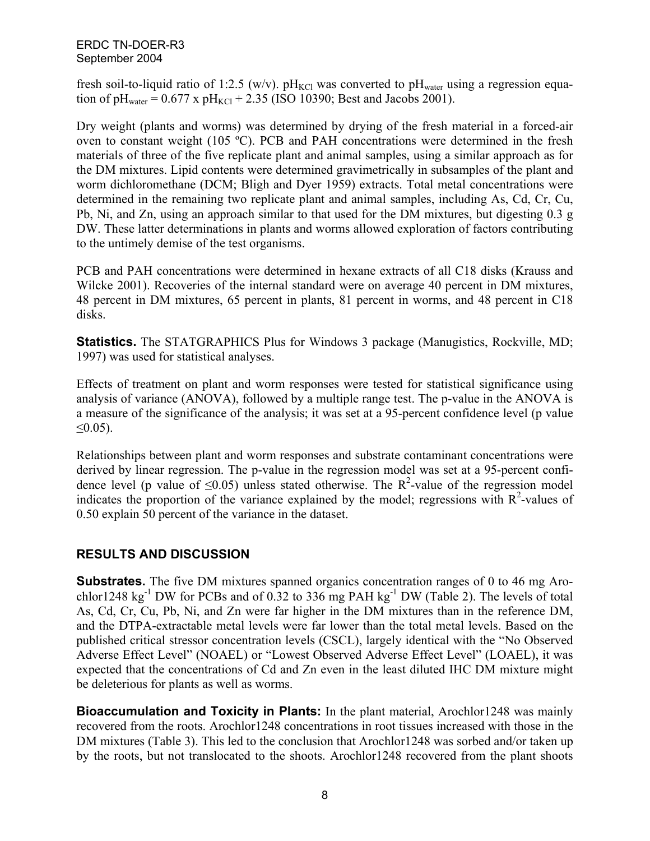fresh soil-to-liquid ratio of 1:2.5 (w/v).  $pH_{\text{KCl}}$  was converted to  $pH_{\text{water}}$  using a regression equation of pH<sub>water</sub> =  $0.677$  x pH<sub>KCl</sub> + 2.35 (ISO 10390; Best and Jacobs 2001).

Dry weight (plants and worms) was determined by drying of the fresh material in a forced-air oven to constant weight (105 ºC). PCB and PAH concentrations were determined in the fresh materials of three of the five replicate plant and animal samples, using a similar approach as for the DM mixtures. Lipid contents were determined gravimetrically in subsamples of the plant and worm dichloromethane (DCM; Bligh and Dyer 1959) extracts. Total metal concentrations were determined in the remaining two replicate plant and animal samples, including As, Cd, Cr, Cu, Pb, Ni, and Zn, using an approach similar to that used for the DM mixtures, but digesting 0.3 g DW. These latter determinations in plants and worms allowed exploration of factors contributing to the untimely demise of the test organisms.

PCB and PAH concentrations were determined in hexane extracts of all C18 disks (Krauss and Wilcke 2001). Recoveries of the internal standard were on average 40 percent in DM mixtures, 48 percent in DM mixtures, 65 percent in plants, 81 percent in worms, and 48 percent in C18 disks.

**Statistics.** The STATGRAPHICS Plus for Windows 3 package (Manugistics, Rockville, MD; 1997) was used for statistical analyses.

Effects of treatment on plant and worm responses were tested for statistical significance using analysis of variance (ANOVA), followed by a multiple range test. The p-value in the ANOVA is a measure of the significance of the analysis; it was set at a 95-percent confidence level (p value  $≤0.05$ ).

Relationships between plant and worm responses and substrate contaminant concentrations were derived by linear regression. The p-value in the regression model was set at a 95-percent confidence level (p value of  $\leq 0.05$ ) unless stated otherwise. The R<sup>2</sup>-value of the regression model indicates the proportion of the variance explained by the model; regressions with  $R^2$ -values of 0.50 explain 50 percent of the variance in the dataset.

# **RESULTS AND DISCUSSION**

**Substrates.** The five DM mixtures spanned organics concentration ranges of 0 to 46 mg Arochlor1248 kg<sup>-1</sup> DW for PCBs and of 0.32 to 336 mg PAH kg<sup>-1</sup> DW (Table 2). The levels of total As, Cd, Cr, Cu, Pb, Ni, and Zn were far higher in the DM mixtures than in the reference DM, and the DTPA-extractable metal levels were far lower than the total metal levels. Based on the published critical stressor concentration levels (CSCL), largely identical with the "No Observed Adverse Effect Level" (NOAEL) or "Lowest Observed Adverse Effect Level" (LOAEL), it was expected that the concentrations of Cd and Zn even in the least diluted IHC DM mixture might be deleterious for plants as well as worms.

**Bioaccumulation and Toxicity in Plants:** In the plant material, Arochlor1248 was mainly recovered from the roots. Arochlor1248 concentrations in root tissues increased with those in the DM mixtures (Table 3). This led to the conclusion that Arochlor1248 was sorbed and/or taken up by the roots, but not translocated to the shoots. Arochlor1248 recovered from the plant shoots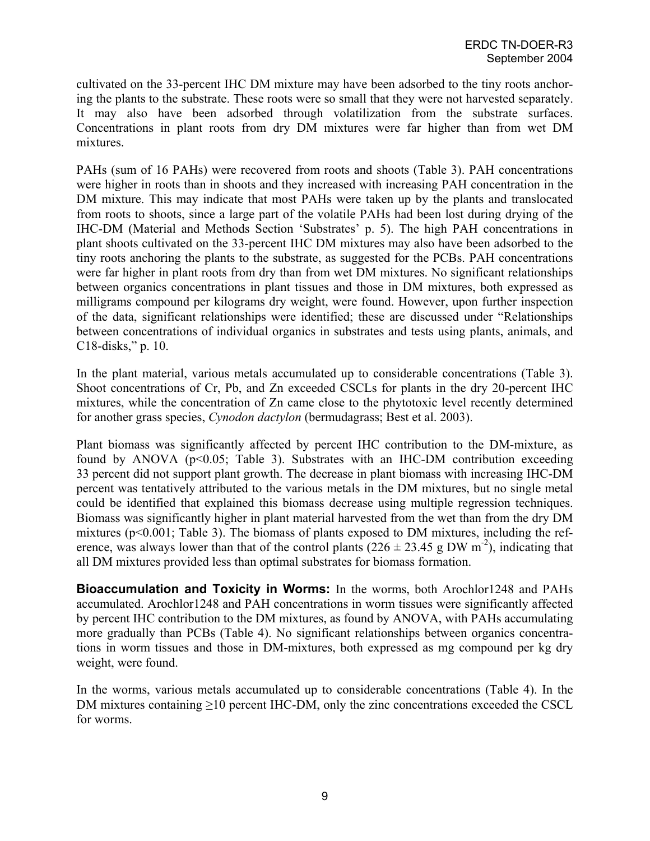cultivated on the 33-percent IHC DM mixture may have been adsorbed to the tiny roots anchoring the plants to the substrate. These roots were so small that they were not harvested separately. It may also have been adsorbed through volatilization from the substrate surfaces. Concentrations in plant roots from dry DM mixtures were far higher than from wet DM mixtures.

PAHs (sum of 16 PAHs) were recovered from roots and shoots (Table 3). PAH concentrations were higher in roots than in shoots and they increased with increasing PAH concentration in the DM mixture. This may indicate that most PAHs were taken up by the plants and translocated from roots to shoots, since a large part of the volatile PAHs had been lost during drying of the IHC-DM (Material and Methods Section 'Substrates' p. 5). The high PAH concentrations in plant shoots cultivated on the 33-percent IHC DM mixtures may also have been adsorbed to the tiny roots anchoring the plants to the substrate, as suggested for the PCBs. PAH concentrations were far higher in plant roots from dry than from wet DM mixtures. No significant relationships between organics concentrations in plant tissues and those in DM mixtures, both expressed as milligrams compound per kilograms dry weight, were found. However, upon further inspection of the data, significant relationships were identified; these are discussed under "Relationships between concentrations of individual organics in substrates and tests using plants, animals, and C18-disks," p. 10.

In the plant material, various metals accumulated up to considerable concentrations (Table 3). Shoot concentrations of Cr, Pb, and Zn exceeded CSCLs for plants in the dry 20-percent IHC mixtures, while the concentration of Zn came close to the phytotoxic level recently determined for another grass species, *Cynodon dactylon* (bermudagrass; Best et al. 2003).

Plant biomass was significantly affected by percent IHC contribution to the DM-mixture, as found by ANOVA (p<0.05; Table 3). Substrates with an IHC-DM contribution exceeding 33 percent did not support plant growth. The decrease in plant biomass with increasing IHC-DM percent was tentatively attributed to the various metals in the DM mixtures, but no single metal could be identified that explained this biomass decrease using multiple regression techniques. Biomass was significantly higher in plant material harvested from the wet than from the dry DM mixtures (p<0.001; Table 3). The biomass of plants exposed to DM mixtures, including the reference, was always lower than that of the control plants ( $226 \pm 23.45$  g DW m<sup>-2</sup>), indicating that all DM mixtures provided less than optimal substrates for biomass formation.

**Bioaccumulation and Toxicity in Worms:** In the worms, both Arochlor1248 and PAHs accumulated. Arochlor1248 and PAH concentrations in worm tissues were significantly affected by percent IHC contribution to the DM mixtures, as found by ANOVA, with PAHs accumulating more gradually than PCBs (Table 4). No significant relationships between organics concentrations in worm tissues and those in DM-mixtures, both expressed as mg compound per kg dry weight, were found.

In the worms, various metals accumulated up to considerable concentrations (Table 4). In the DM mixtures containing  $\geq$ 10 percent IHC-DM, only the zinc concentrations exceeded the CSCL for worms.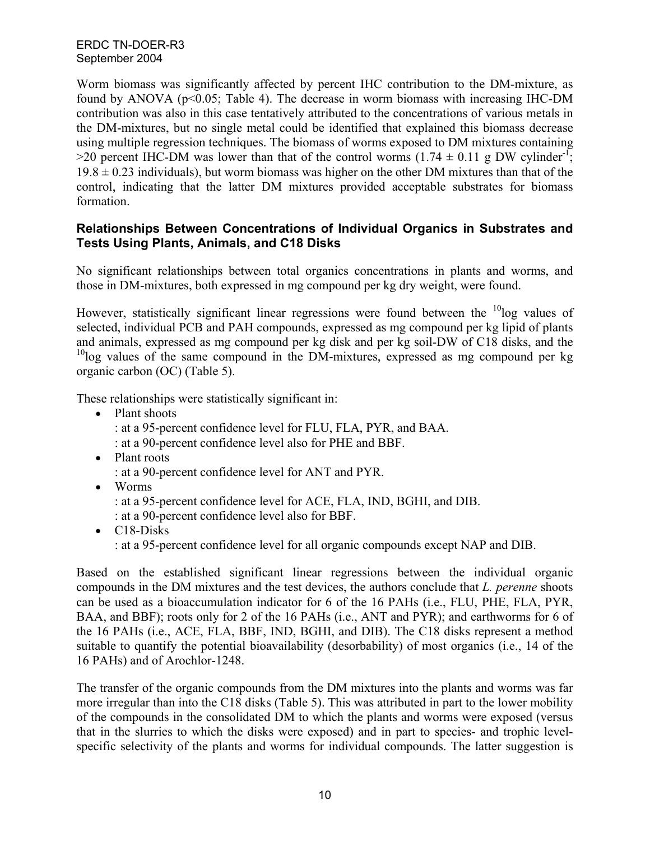Worm biomass was significantly affected by percent IHC contribution to the DM-mixture, as found by ANOVA (p<0.05; Table 4). The decrease in worm biomass with increasing IHC-DM contribution was also in this case tentatively attributed to the concentrations of various metals in the DM-mixtures, but no single metal could be identified that explained this biomass decrease using multiple regression techniques. The biomass of worms exposed to DM mixtures containing >20 percent IHC-DM was lower than that of the control worms  $(1.74 \pm 0.11 \text{ g DW cylinder}^{-1})$ ;  $19.8 \pm 0.23$  individuals), but worm biomass was higher on the other DM mixtures than that of the control, indicating that the latter DM mixtures provided acceptable substrates for biomass formation.

## **Relationships Between Concentrations of Individual Organics in Substrates and Tests Using Plants, Animals, and C18 Disks**

No significant relationships between total organics concentrations in plants and worms, and those in DM-mixtures, both expressed in mg compound per kg dry weight, were found.

However, statistically significant linear regressions were found between the  $10$ log values of selected, individual PCB and PAH compounds, expressed as mg compound per kg lipid of plants and animals, expressed as mg compound per kg disk and per kg soil-DW of C18 disks, and the  $10$ log values of the same compound in the DM-mixtures, expressed as mg compound per kg organic carbon (OC) (Table 5).

These relationships were statistically significant in:

- Plant shoots
	- : at a 95-percent confidence level for FLU, FLA, PYR, and BAA.
	- : at a 90-percent confidence level also for PHE and BBF.
- Plant roots
	- : at a 90-percent confidence level for ANT and PYR.
- Worms
	- : at a 95-percent confidence level for ACE, FLA, IND, BGHI, and DIB.
	- : at a 90-percent confidence level also for BBF.
- C18-Disks : at a 95-percent confidence level for all organic compounds except NAP and DIB.

Based on the established significant linear regressions between the individual organic compounds in the DM mixtures and the test devices, the authors conclude that *L. perenne* shoots can be used as a bioaccumulation indicator for 6 of the 16 PAHs (i.e., FLU, PHE, FLA, PYR, BAA, and BBF); roots only for 2 of the 16 PAHs (i.e., ANT and PYR); and earthworms for 6 of the 16 PAHs (i.e., ACE, FLA, BBF, IND, BGHI, and DIB). The C18 disks represent a method suitable to quantify the potential bioavailability (desorbability) of most organics (i.e., 14 of the 16 PAHs) and of Arochlor-1248.

The transfer of the organic compounds from the DM mixtures into the plants and worms was far more irregular than into the C18 disks (Table 5). This was attributed in part to the lower mobility of the compounds in the consolidated DM to which the plants and worms were exposed (versus that in the slurries to which the disks were exposed) and in part to species- and trophic levelspecific selectivity of the plants and worms for individual compounds. The latter suggestion is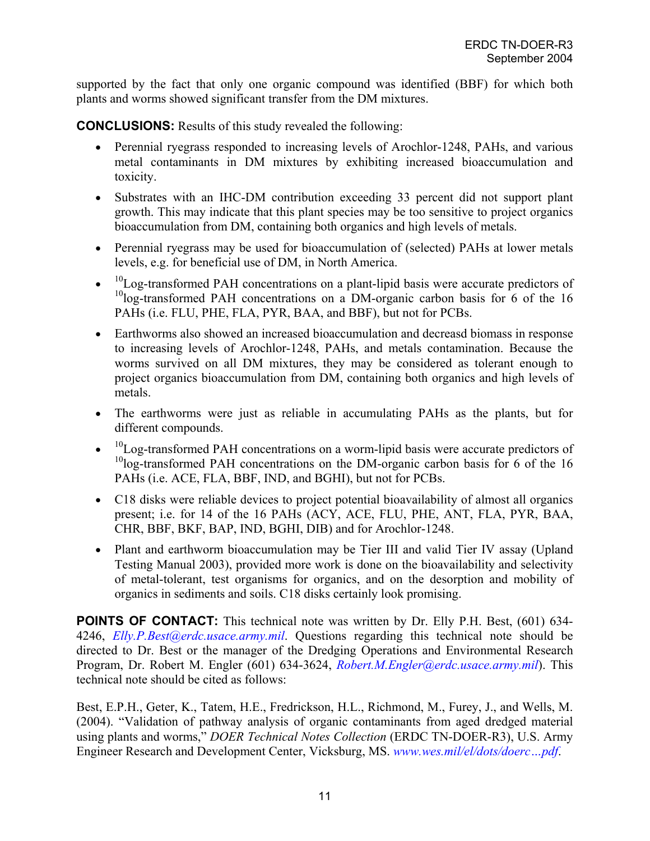supported by the fact that only one organic compound was identified (BBF) for which both plants and worms showed significant transfer from the DM mixtures.

**CONCLUSIONS:** Results of this study revealed the following:

- Perennial ryegrass responded to increasing levels of Arochlor-1248, PAHs, and various metal contaminants in DM mixtures by exhibiting increased bioaccumulation and toxicity.
- Substrates with an IHC-DM contribution exceeding 33 percent did not support plant growth. This may indicate that this plant species may be too sensitive to project organics bioaccumulation from DM, containing both organics and high levels of metals.
- Perennial ryegrass may be used for bioaccumulation of (selected) PAHs at lower metals levels, e.g. for beneficial use of DM, in North America.
- $\bullet$  <sup>10</sup>Log-transformed PAH concentrations on a plant-lipid basis were accurate predictors of  $10$ log-transformed PAH concentrations on a DM-organic carbon basis for 6 of the 16 PAHs (i.e. FLU, PHE, FLA, PYR, BAA, and BBF), but not for PCBs.
- Earthworms also showed an increased bioaccumulation and decreasd biomass in response to increasing levels of Arochlor-1248, PAHs, and metals contamination. Because the worms survived on all DM mixtures, they may be considered as tolerant enough to project organics bioaccumulation from DM, containing both organics and high levels of metals.
- The earthworms were just as reliable in accumulating PAHs as the plants, but for different compounds.
- $\bullet$  <sup>10</sup>Log-transformed PAH concentrations on a worm-lipid basis were accurate predictors of <sup>10</sup>log-transformed PAH concentrations on the DM-organic carbon basis for 6 of the 16 PAHs (i.e. ACE, FLA, BBF, IND, and BGHI), but not for PCBs.
- C18 disks were reliable devices to project potential bioavailability of almost all organics present; i.e. for 14 of the 16 PAHs (ACY, ACE, FLU, PHE, ANT, FLA, PYR, BAA, CHR, BBF, BKF, BAP, IND, BGHI, DIB) and for Arochlor-1248.
- Plant and earthworm bioaccumulation may be Tier III and valid Tier IV assay (Upland Testing Manual 2003), provided more work is done on the bioavailability and selectivity of metal-tolerant, test organisms for organics, and on the desorption and mobility of organics in sediments and soils. C18 disks certainly look promising.

**POINTS OF CONTACT:** This technical note was written by Dr. Elly P.H. Best, (601) 634-4246, *[Elly.P.Best@erdc.usace.army.mil](mailto:Elly.P.Best@erdc.usace.army.mil)*. Questions regarding this technical note should be directed to Dr. Best or the manager of the Dredging Operations and Environmental Research Program, Dr. Robert M. Engler (601) 634-3624, *[Robert.M.Engler@erdc.usace.army.mil](mailto:Robert.M.Engler@erdc.usace.army.mil)*). This technical note should be cited as follows:

Best, E.P.H., Geter, K., Tatem, H.E., Fredrickson, H.L., Richmond, M., Furey, J., and Wells, M. (2004). "Validation of pathway analysis of organic contaminants from aged dredged material using plants and worms," *DOER Technical Notes Collection* (ERDC TN-DOER-R3), U.S. Army Engineer Research and Development Center, Vicksburg, MS. *[www.wes.mil/el/dots/doerc…pdf](http://el.erdc.usace.army.mil/programs.cfm?Topic-doer)*.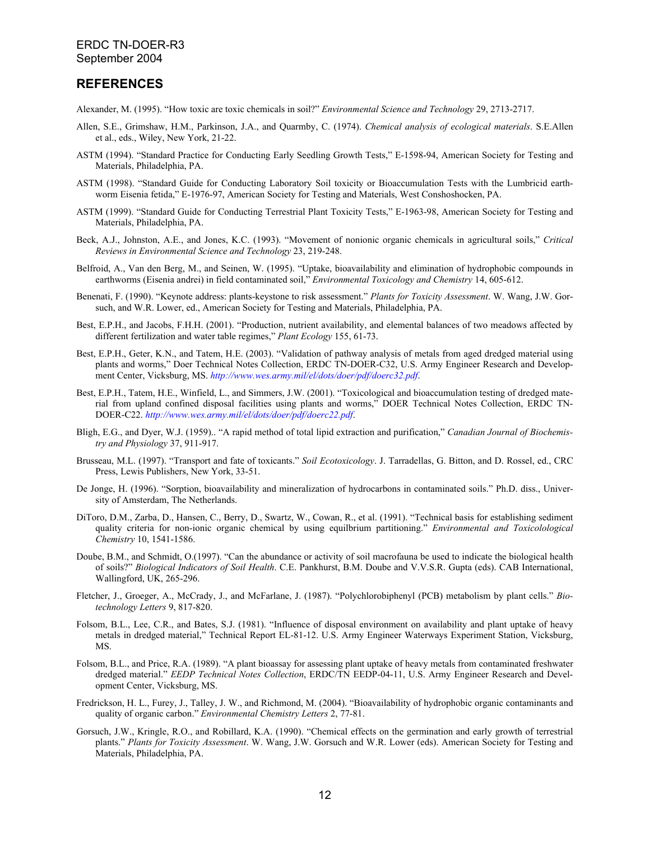### **REFERENCES**

Alexander, M. (1995). "How toxic are toxic chemicals in soil?" *Environmental Science and Technology* 29, 2713-2717.

- Allen, S.E., Grimshaw, H.M., Parkinson, J.A., and Quarmby, C. (1974). *Chemical analysis of ecological materials*. S.E.Allen et al., eds., Wiley, New York, 21-22.
- ASTM (1994). "Standard Practice for Conducting Early Seedling Growth Tests," E-1598-94, American Society for Testing and Materials, Philadelphia, PA.
- ASTM (1998). "Standard Guide for Conducting Laboratory Soil toxicity or Bioaccumulation Tests with the Lumbricid earthworm Eisenia fetida," E-1976-97, American Society for Testing and Materials, West Conshoshocken, PA.
- ASTM (1999). "Standard Guide for Conducting Terrestrial Plant Toxicity Tests," E-1963-98, American Society for Testing and Materials, Philadelphia, PA.
- Beck, A.J., Johnston, A.E., and Jones, K.C. (1993). "Movement of nonionic organic chemicals in agricultural soils," *Critical Reviews in Environmental Science and Technology* 23, 219-248.
- Belfroid, A., Van den Berg, M., and Seinen, W. (1995). "Uptake, bioavailability and elimination of hydrophobic compounds in earthworms (Eisenia andrei) in field contaminated soil," *Environmental Toxicology and Chemistry* 14, 605-612.
- Benenati, F. (1990). "Keynote address: plants-keystone to risk assessment." *Plants for Toxicity Assessment*. W. Wang, J.W. Gorsuch, and W.R. Lower, ed., American Society for Testing and Materials, Philadelphia, PA.
- Best, E.P.H., and Jacobs, F.H.H. (2001). "Production, nutrient availability, and elemental balances of two meadows affected by different fertilization and water table regimes," *Plant Ecology* 155, 61-73.
- Best, E.P.H., Geter, K.N., and Tatem, H.E. (2003). "Validation of pathway analysis of metals from aged dredged material using plants and worms," Doer Technical Notes Collection, ERDC TN-DOER-C32, U.S. Army Engineer Research and Development Center, Vicksburg, MS. *<http://www.wes.army.mil/el/dots/doer/pdf/doerc32.pdf>*.
- Best, E.P.H., Tatem, H.E., Winfield, L., and Simmers, J.W. (2001). "Toxicological and bioaccumulation testing of dredged material from upland confined disposal facilities using plants and worms," DOER Technical Notes Collection, ERDC TN-DOER-C22. *<http://www.wes.army.mil/el/dots/doer/pdf/doerc22.pdf>*.
- Bligh, E.G., and Dyer, W.J. (1959).. "A rapid method of total lipid extraction and purification," *Canadian Journal of Biochemistry and Physiology* 37, 911-917.
- Brusseau, M.L. (1997). "Transport and fate of toxicants." *Soil Ecotoxicology*. J. Tarradellas, G. Bitton, and D. Rossel, ed., CRC Press, Lewis Publishers, New York, 33-51.
- De Jonge, H. (1996). "Sorption, bioavailability and mineralization of hydrocarbons in contaminated soils." Ph.D. diss., University of Amsterdam, The Netherlands.
- DiToro, D.M., Zarba, D., Hansen, C., Berry, D., Swartz, W., Cowan, R., et al. (1991). "Technical basis for establishing sediment quality criteria for non-ionic organic chemical by using equilbrium partitioning." *Environmental and Toxicolological Chemistry* 10, 1541-1586.
- Doube, B.M., and Schmidt, O.(1997). "Can the abundance or activity of soil macrofauna be used to indicate the biological health of soils?" *Biological Indicators of Soil Health*. C.E. Pankhurst, B.M. Doube and V.V.S.R. Gupta (eds). CAB International, Wallingford, UK, 265-296.
- Fletcher, J., Groeger, A., McCrady, J., and McFarlane, J. (1987). "Polychlorobiphenyl (PCB) metabolism by plant cells." *Biotechnology Letters* 9, 817-820.
- Folsom, B.L., Lee, C.R., and Bates, S.J. (1981). "Influence of disposal environment on availability and plant uptake of heavy metals in dredged material," Technical Report EL-81-12. U.S. Army Engineer Waterways Experiment Station, Vicksburg, MS.
- Folsom, B.L., and Price, R.A. (1989). "A plant bioassay for assessing plant uptake of heavy metals from contaminated freshwater dredged material." *EEDP Technical Notes Collection*, ERDC/TN EEDP-04-11, U.S. Army Engineer Research and Development Center, Vicksburg, MS.
- Fredrickson, H. L., Furey, J., Talley, J. W., and Richmond, M. (2004). "Bioavailability of hydrophobic organic contaminants and quality of organic carbon." *Environmental Chemistry Letters* 2, 77-81.
- Gorsuch, J.W., Kringle, R.O., and Robillard, K.A. (1990). "Chemical effects on the germination and early growth of terrestrial plants." *Plants for Toxicity Assessment*. W. Wang, J.W. Gorsuch and W.R. Lower (eds). American Society for Testing and Materials, Philadelphia, PA.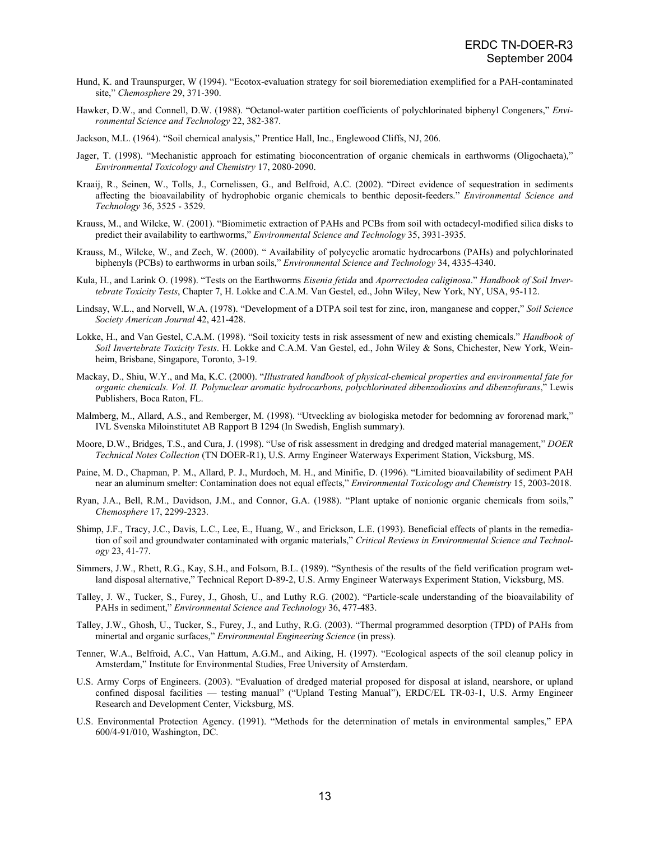- Hund, K. and Traunspurger, W (1994). "Ecotox-evaluation strategy for soil bioremediation exemplified for a PAH-contaminated site," *Chemosphere* 29, 371-390.
- Hawker, D.W., and Connell, D.W. (1988). "Octanol-water partition coefficients of polychlorinated biphenyl Congeners," *Environmental Science and Technology* 22, 382-387.

Jackson, M.L. (1964). "Soil chemical analysis," Prentice Hall, Inc., Englewood Cliffs, NJ, 206.

- Jager, T. (1998). "Mechanistic approach for estimating bioconcentration of organic chemicals in earthworms (Oligochaeta)," *Environmental Toxicology and Chemistry* 17, 2080-2090.
- Kraaij, R., Seinen, W., Tolls, J., Cornelissen, G., and Belfroid, A.C. (2002). "Direct evidence of sequestration in sediments affecting the bioavailability of hydrophobic organic chemicals to benthic deposit-feeders." *Environmental Science and Technology* 36, 3525 - 3529.
- Krauss, M., and Wilcke, W. (2001). "Biomimetic extraction of PAHs and PCBs from soil with octadecyl-modified silica disks to predict their availability to earthworms," *Environmental Science and Technology* 35, 3931-3935.
- Krauss, M., Wilcke, W., and Zech, W. (2000). " Availability of polycyclic aromatic hydrocarbons (PAHs) and polychlorinated biphenyls (PCBs) to earthworms in urban soils," *Environmental Science and Technology* 34, 4335-4340.
- Kula, H., and Larink O. (1998). "Tests on the Earthworms *Eisenia fetida* and *Aporrectodea caliginosa*." *Handbook of Soil Invertebrate Toxicity Tests*, Chapter 7, H. Lokke and C.A.M. Van Gestel, ed., John Wiley, New York, NY, USA, 95-112.
- Lindsay, W.L., and Norvell, W.A. (1978). "Development of a DTPA soil test for zinc, iron, manganese and copper," *Soil Science Society American Journal* 42, 421-428.
- Lokke, H., and Van Gestel, C.A.M. (1998). "Soil toxicity tests in risk assessment of new and existing chemicals." *Handbook of Soil Invertebrate Toxicity Tests*. H. Lokke and C.A.M. Van Gestel, ed., John Wiley & Sons, Chichester, New York, Weinheim, Brisbane, Singapore, Toronto, 3-19.
- Mackay, D., Shiu, W.Y., and Ma, K.C. (2000). "*Illustrated handbook of physical-chemical properties and environmental fate for organic chemicals. Vol. II. Polynuclear aromatic hydrocarbons, polychlorinated dibenzodioxins and dibenzofurans*," Lewis Publishers, Boca Raton, FL.
- Malmberg, M., Allard, A.S., and Remberger, M. (1998). "Utveckling av biologiska metoder for bedomning av fororenad mark," IVL Svenska Miloinstitutet AB Rapport B 1294 (In Swedish, English summary).
- Moore, D.W., Bridges, T.S., and Cura, J. (1998). "Use of risk assessment in dredging and dredged material management," *DOER Technical Notes Collection* (TN DOER-R1), U.S. Army Engineer Waterways Experiment Station, Vicksburg, MS.
- Paine, M. D., Chapman, P. M., Allard, P. J., Murdoch, M. H., and Minifie, D. (1996). "Limited bioavailability of sediment PAH near an aluminum smelter: Contamination does not equal effects," *Environmental Toxicology and Chemistry* 15, 2003-2018.
- Ryan, J.A., Bell, R.M., Davidson, J.M., and Connor, G.A. (1988). "Plant uptake of nonionic organic chemicals from soils," *Chemosphere* 17, 2299-2323.
- Shimp, J.F., Tracy, J.C., Davis, L.C., Lee, E., Huang, W., and Erickson, L.E. (1993). Beneficial effects of plants in the remediation of soil and groundwater contaminated with organic materials," *Critical Reviews in Environmental Science and Technology* 23, 41-77.
- Simmers, J.W., Rhett, R.G., Kay, S.H., and Folsom, B.L. (1989). "Synthesis of the results of the field verification program wetland disposal alternative," Technical Report D-89-2, U.S. Army Engineer Waterways Experiment Station, Vicksburg, MS.
- Talley, J. W., Tucker, S., Furey, J., Ghosh, U., and Luthy R.G. (2002). "Particle-scale understanding of the bioavailability of PAHs in sediment," *Environmental Science and Technology* 36, 477-483.
- Talley, J.W., Ghosh, U., Tucker, S., Furey, J., and Luthy, R.G. (2003). "Thermal programmed desorption (TPD) of PAHs from minertal and organic surfaces," *Environmental Engineering Science* (in press).
- Tenner, W.A., Belfroid, A.C., Van Hattum, A.G.M., and Aiking, H. (1997). "Ecological aspects of the soil cleanup policy in Amsterdam," Institute for Environmental Studies, Free University of Amsterdam.
- U.S. Army Corps of Engineers. (2003). "Evaluation of dredged material proposed for disposal at island, nearshore, or upland confined disposal facilities — testing manual" ("Upland Testing Manual"), ERDC/EL TR-03-1, U.S. Army Engineer Research and Development Center, Vicksburg, MS.
- U.S. Environmental Protection Agency. (1991). "Methods for the determination of metals in environmental samples," EPA 600/4-91/010, Washington, DC.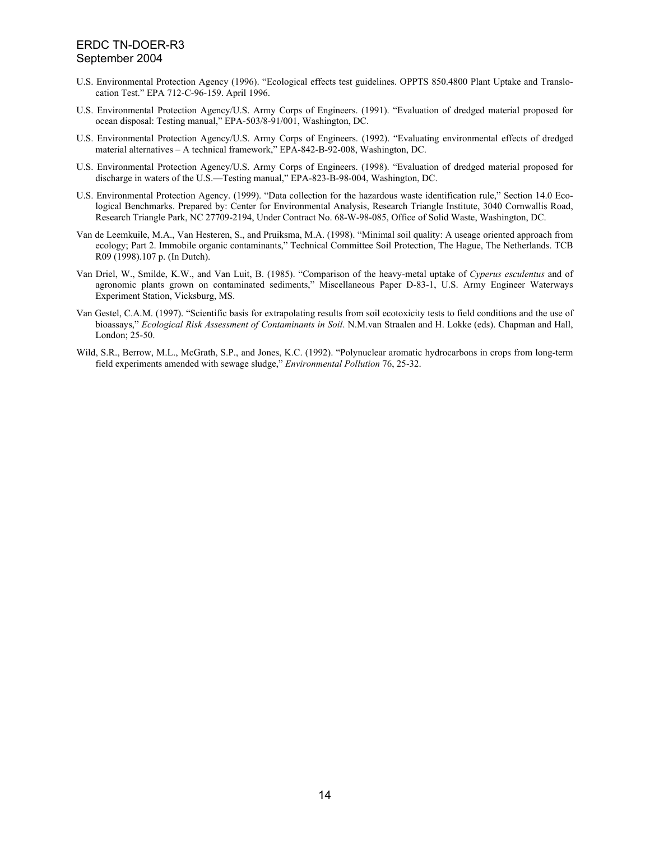- U.S. Environmental Protection Agency (1996). "Ecological effects test guidelines. OPPTS 850.4800 Plant Uptake and Translocation Test." EPA 712-C-96-159. April 1996.
- U.S. Environmental Protection Agency/U.S. Army Corps of Engineers. (1991). "Evaluation of dredged material proposed for ocean disposal: Testing manual," EPA-503/8-91/001, Washington, DC.
- U.S. Environmental Protection Agency/U.S. Army Corps of Engineers. (1992). "Evaluating environmental effects of dredged material alternatives – A technical framework," EPA-842-B-92-008, Washington, DC.
- U.S. Environmental Protection Agency/U.S. Army Corps of Engineers. (1998). "Evaluation of dredged material proposed for discharge in waters of the U.S.—Testing manual," EPA-823-B-98-004, Washington, DC.
- U.S. Environmental Protection Agency. (1999). "Data collection for the hazardous waste identification rule," Section 14.0 Ecological Benchmarks. Prepared by: Center for Environmental Analysis, Research Triangle Institute, 3040 Cornwallis Road, Research Triangle Park, NC 27709-2194, Under Contract No. 68-W-98-085, Office of Solid Waste, Washington, DC.
- Van de Leemkuile, M.A., Van Hesteren, S., and Pruiksma, M.A. (1998). "Minimal soil quality: A useage oriented approach from ecology; Part 2. Immobile organic contaminants," Technical Committee Soil Protection, The Hague, The Netherlands. TCB R09 (1998).107 p. (In Dutch).
- Van Driel, W., Smilde, K.W., and Van Luit, B. (1985). "Comparison of the heavy-metal uptake of *Cyperus esculentus* and of agronomic plants grown on contaminated sediments," Miscellaneous Paper D-83-1, U.S. Army Engineer Waterways Experiment Station, Vicksburg, MS.
- Van Gestel, C.A.M. (1997). "Scientific basis for extrapolating results from soil ecotoxicity tests to field conditions and the use of bioassays," *Ecological Risk Assessment of Contaminants in Soil*. N.M.van Straalen and H. Lokke (eds). Chapman and Hall, London; 25-50.
- Wild, S.R., Berrow, M.L., McGrath, S.P., and Jones, K.C. (1992). "Polynuclear aromatic hydrocarbons in crops from long-term field experiments amended with sewage sludge," *Environmental Pollution* 76, 25-32.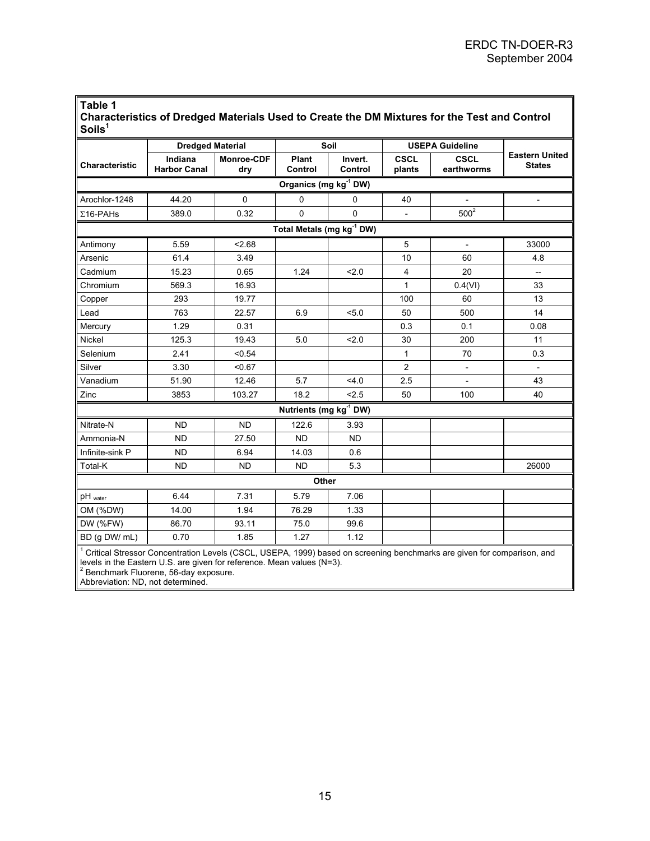| Table 1                                                                                      |
|----------------------------------------------------------------------------------------------|
| Characteristics of Dredged Materials Used to Create the DM Mixtures for the Test and Control |
| $S$ oils <sup>1</sup>                                                                        |

|                                                                                                                                                                                                                                                       | <b>Dredged Material</b>        |                          | Soil                               |                                       | <b>USEPA Guideline</b> |                           |                                        |  |  |  |
|-------------------------------------------------------------------------------------------------------------------------------------------------------------------------------------------------------------------------------------------------------|--------------------------------|--------------------------|------------------------------------|---------------------------------------|------------------------|---------------------------|----------------------------------------|--|--|--|
| Characteristic                                                                                                                                                                                                                                        | Indiana<br><b>Harbor Canal</b> | <b>Monroe-CDF</b><br>dry | Plant<br>Control                   | Invert.<br>Control                    | <b>CSCL</b><br>plants  | <b>CSCL</b><br>earthworms | <b>Eastern United</b><br><b>States</b> |  |  |  |
| Organics (mg kg <sup>-1</sup> DW)                                                                                                                                                                                                                     |                                |                          |                                    |                                       |                        |                           |                                        |  |  |  |
| Arochlor-1248                                                                                                                                                                                                                                         | 44.20                          | 0                        | $\mathbf 0$                        | 0                                     | 40                     |                           | $\overline{\phantom{a}}$               |  |  |  |
| $\Sigma$ 16-PAHs                                                                                                                                                                                                                                      | 389.0                          | 0.32                     | $\mathbf 0$                        | 0                                     |                        | 500 <sup>2</sup>          |                                        |  |  |  |
|                                                                                                                                                                                                                                                       |                                |                          |                                    | Total Metals (mg kg <sup>-1</sup> DW) |                        |                           |                                        |  |  |  |
| Antimony                                                                                                                                                                                                                                              | 5.59                           | 2.68                     |                                    |                                       | 5                      |                           | 33000                                  |  |  |  |
| Arsenic                                                                                                                                                                                                                                               | 61.4                           | 3.49                     |                                    |                                       | 10                     | 60                        | 4.8                                    |  |  |  |
| Cadmium                                                                                                                                                                                                                                               | 15.23                          | 0.65                     | 1.24                               | 2.0                                   | $\overline{4}$         | 20                        | $\overline{\phantom{a}}$               |  |  |  |
| Chromium                                                                                                                                                                                                                                              | 569.3                          | 16.93                    |                                    |                                       | 1                      | 0.4(VI)                   | 33                                     |  |  |  |
| Copper                                                                                                                                                                                                                                                | 293                            | 19.77                    |                                    |                                       | 100                    | 60                        | 13                                     |  |  |  |
| Lead                                                                                                                                                                                                                                                  | 763                            | 22.57                    | 6.9                                | 5.0                                   | 50                     | 500                       | 14                                     |  |  |  |
| Mercury                                                                                                                                                                                                                                               | 1.29                           | 0.31                     |                                    |                                       | 0.3                    | 0.1                       | 0.08                                   |  |  |  |
| Nickel                                                                                                                                                                                                                                                | 125.3                          | 19.43                    | 5.0                                | 2.0                                   | 30                     | 200                       | 11                                     |  |  |  |
| Selenium                                                                                                                                                                                                                                              | 2.41                           | < 0.54                   |                                    |                                       | $\mathbf{1}$           | 70                        | 0.3                                    |  |  |  |
| Silver                                                                                                                                                                                                                                                | 3.30                           | < 0.67                   |                                    |                                       | $\overline{2}$         | $\overline{\phantom{0}}$  |                                        |  |  |  |
| Vanadium                                                                                                                                                                                                                                              | 51.90                          | 12.46                    | 5.7                                | 4.0                                   | 2.5                    |                           | 43                                     |  |  |  |
| Zinc                                                                                                                                                                                                                                                  | 3853                           | 103.27                   | 18.2                               | < 2.5                                 | 50                     | 100                       | 40                                     |  |  |  |
|                                                                                                                                                                                                                                                       |                                |                          | Nutrients (mg kg <sup>-1</sup> DW) |                                       |                        |                           |                                        |  |  |  |
| Nitrate-N                                                                                                                                                                                                                                             | <b>ND</b>                      | <b>ND</b>                | 122.6                              | 3.93                                  |                        |                           |                                        |  |  |  |
| Ammonia-N                                                                                                                                                                                                                                             | <b>ND</b>                      | 27.50                    | <b>ND</b>                          | <b>ND</b>                             |                        |                           |                                        |  |  |  |
| Infinite-sink P                                                                                                                                                                                                                                       | <b>ND</b>                      | 6.94                     | 14.03                              | 0.6                                   |                        |                           |                                        |  |  |  |
| Total-K                                                                                                                                                                                                                                               | <b>ND</b>                      | <b>ND</b>                | <b>ND</b>                          | 5.3                                   |                        |                           | 26000                                  |  |  |  |
|                                                                                                                                                                                                                                                       |                                |                          | Other                              |                                       |                        |                           |                                        |  |  |  |
| $pH_{water}$                                                                                                                                                                                                                                          | 6.44                           | 7.31                     | 5.79                               | 7.06                                  |                        |                           |                                        |  |  |  |
| OM (%DW)                                                                                                                                                                                                                                              | 14.00                          | 1.94                     | 76.29                              | 1.33                                  |                        |                           |                                        |  |  |  |
| DW (%FW)                                                                                                                                                                                                                                              | 86.70                          | 93.11                    | 75.0                               | 99.6                                  |                        |                           |                                        |  |  |  |
| BD (g DW/ mL)                                                                                                                                                                                                                                         | 0.70                           | 1.85                     | 1.27                               | 1.12                                  |                        |                           |                                        |  |  |  |
| Critical Stressor Concentration Levels (CSCL, USEPA, 1999) based on screening benchmarks are given for comparison, and<br>levels in the Eastern U.S. are given for reference. Mean values (N=3).<br><sup>2</sup> Benchmark Fluorene, 56-day exposure. |                                |                          |                                    |                                       |                        |                           |                                        |  |  |  |

Abbreviation: ND, not determined.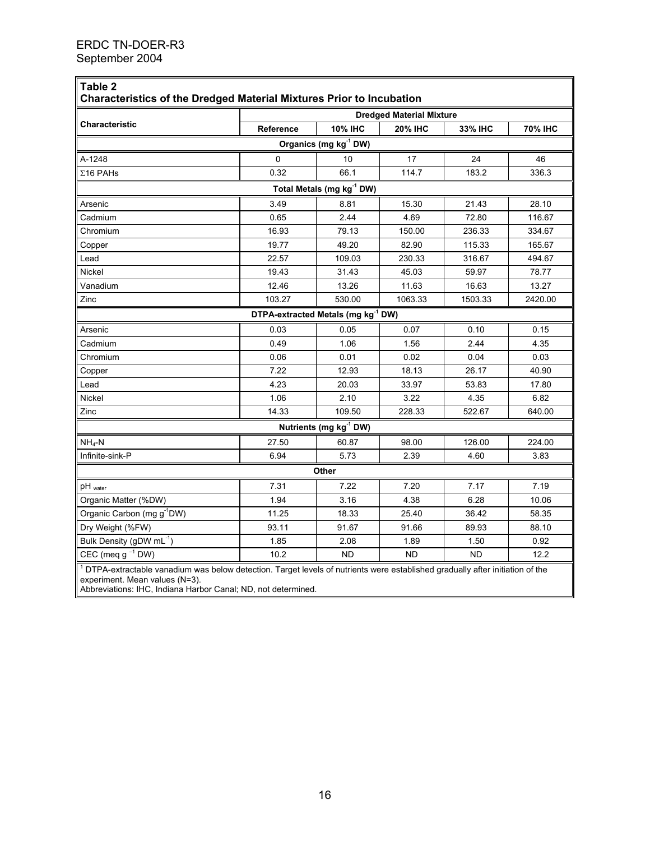| Characteristics of the Dredged Material Mixtures Prior to Incubation<br><b>Dredged Material Mixture</b> |           |                                                |                |                |         |  |  |  |  |  |  |
|---------------------------------------------------------------------------------------------------------|-----------|------------------------------------------------|----------------|----------------|---------|--|--|--|--|--|--|
| <b>Characteristic</b>                                                                                   | Reference | <b>10% IHC</b>                                 | 33% IHC        | <b>70% IHC</b> |         |  |  |  |  |  |  |
|                                                                                                         |           | Organics (mg kg <sup>-1</sup> DW)              | <b>20% IHC</b> |                |         |  |  |  |  |  |  |
| A-1248                                                                                                  | 0         | 10                                             | 17             | 24             | 46      |  |  |  |  |  |  |
| $\Sigma$ 16 PAHs                                                                                        | 0.32      | 66.1                                           | 114.7          | 183.2          | 336.3   |  |  |  |  |  |  |
| Total Metals (mg kg <sup>-1</sup> DW)                                                                   |           |                                                |                |                |         |  |  |  |  |  |  |
| 3.49<br>Arsenic<br>8.81<br>15.30<br>21.43<br>28.10                                                      |           |                                                |                |                |         |  |  |  |  |  |  |
| Cadmium                                                                                                 | 0.65      | 2.44                                           | 4.69           | 72.80          | 116.67  |  |  |  |  |  |  |
| Chromium                                                                                                | 16.93     | 79.13                                          | 150.00         | 236.33         | 334.67  |  |  |  |  |  |  |
| Copper                                                                                                  | 19.77     | 49.20                                          | 82.90          | 115.33         | 165.67  |  |  |  |  |  |  |
| Lead                                                                                                    | 22.57     | 109.03                                         | 230.33         | 316.67         | 494.67  |  |  |  |  |  |  |
| Nickel                                                                                                  | 19.43     | 31.43                                          | 45.03          | 59.97          | 78.77   |  |  |  |  |  |  |
| Vanadium                                                                                                | 12.46     | 13.26                                          | 11.63          | 16.63          | 13.27   |  |  |  |  |  |  |
| Zinc                                                                                                    | 103.27    | 530.00                                         | 1063.33        | 1503.33        | 2420.00 |  |  |  |  |  |  |
|                                                                                                         |           | DTPA-extracted Metals (mg kg <sup>-1</sup> DW) |                |                |         |  |  |  |  |  |  |
| Arsenic                                                                                                 | 0.03      | 0.05                                           | 0.07           | 0.10           | 0.15    |  |  |  |  |  |  |
| Cadmium                                                                                                 | 0.49      | 1.06                                           | 1.56           | 2.44           | 4.35    |  |  |  |  |  |  |
| Chromium                                                                                                | 0.06      | 0.01                                           | 0.02           | 0.04           | 0.03    |  |  |  |  |  |  |
| Copper                                                                                                  | 7.22      | 12.93                                          | 18.13          | 26.17          | 40.90   |  |  |  |  |  |  |
| Lead                                                                                                    | 4.23      | 20.03                                          | 33.97          | 53.83          | 17.80   |  |  |  |  |  |  |
| Nickel                                                                                                  | 1.06      | 2.10                                           | 3.22           | 4.35           | 6.82    |  |  |  |  |  |  |
| Zinc                                                                                                    | 14.33     | 109.50                                         | 228.33         | 522.67         | 640.00  |  |  |  |  |  |  |
|                                                                                                         |           | Nutrients (mg kg <sup>-1</sup> DW)             |                |                |         |  |  |  |  |  |  |
| $NH_4-N$                                                                                                | 27.50     | 60.87                                          | 98.00          | 126.00         | 224.00  |  |  |  |  |  |  |
| Infinite-sink-P                                                                                         | 6.94      | 5.73                                           | 2.39           | 4.60           | 3.83    |  |  |  |  |  |  |
|                                                                                                         |           | Other                                          |                |                |         |  |  |  |  |  |  |
| $pH_{\text{ water}}$                                                                                    | 7.31      | 7.22                                           | 7.20           | 7.17           | 7.19    |  |  |  |  |  |  |
| Organic Matter (%DW)                                                                                    | 1.94      | 3.16                                           | 4.38           | 6.28           | 10.06   |  |  |  |  |  |  |
| Organic Carbon (mg g <sup>-1</sup> DW)                                                                  | 11.25     | 18.33                                          | 25.40          | 36.42          | 58.35   |  |  |  |  |  |  |
| Dry Weight (%FW)                                                                                        | 93.11     | 91.67                                          | 91.66          | 89.93          | 88.10   |  |  |  |  |  |  |
| Bulk Density (gDW mL <sup>-1</sup> )                                                                    | 1.85      | 2.08                                           | 1.89           | 1.50           | 0.92    |  |  |  |  |  |  |
| CEC (meq $g^{-1}$ DW)                                                                                   | 10.2      | <b>ND</b>                                      | <b>ND</b>      | <b>ND</b>      | 12.2    |  |  |  |  |  |  |

experiment. Mean values (N=3).

Abbreviations: IHC, Indiana Harbor Canal; ND, not determined.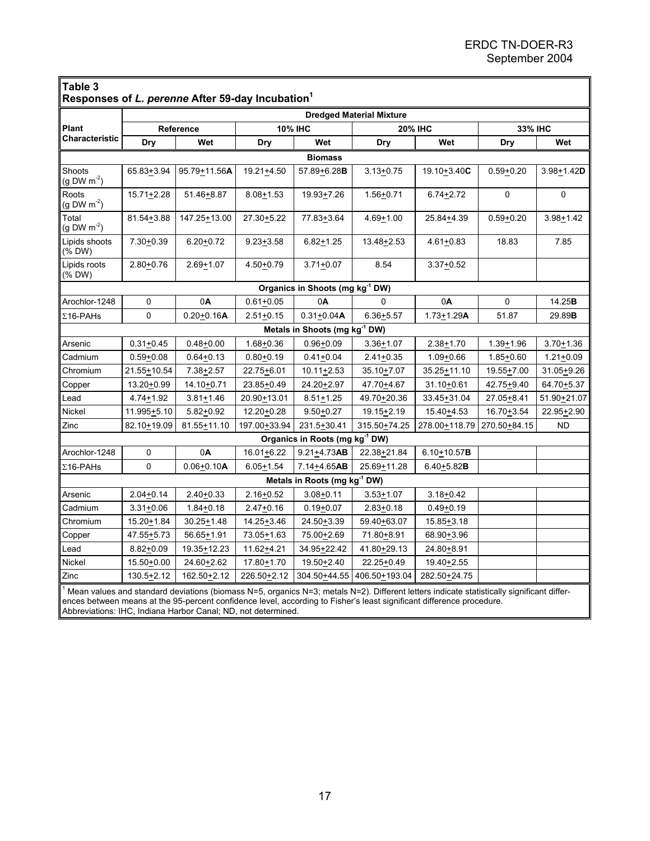| Table 3<br>Responses of L. perenne After 59-day Incubation <sup>1</sup> |                                                                                                                                                                                                                                                                                 |                          |                |                                             |                         |                |               |                         |  |  |  |
|-------------------------------------------------------------------------|---------------------------------------------------------------------------------------------------------------------------------------------------------------------------------------------------------------------------------------------------------------------------------|--------------------------|----------------|---------------------------------------------|-------------------------|----------------|---------------|-------------------------|--|--|--|
| <b>Dredged Material Mixture</b>                                         |                                                                                                                                                                                                                                                                                 |                          |                |                                             |                         |                |               |                         |  |  |  |
| Plant                                                                   | Reference                                                                                                                                                                                                                                                                       |                          | <b>10% IHC</b> |                                             | <b>20% IHC</b>          |                | 33% IHC       |                         |  |  |  |
| Characteristic                                                          | Dry                                                                                                                                                                                                                                                                             | Wet                      | Wet<br>Dry     |                                             | Dry                     | Wet            | Dry           | Wet                     |  |  |  |
| <b>Biomass</b>                                                          |                                                                                                                                                                                                                                                                                 |                          |                |                                             |                         |                |               |                         |  |  |  |
| Shoots<br>$(g DW m-2)$                                                  | $65.83 + 3.94$                                                                                                                                                                                                                                                                  | 95.79+11.56A             | 19.21+4.50     | 57.89+6.28B                                 | $3.13 + 0.75$           | 19.10+3.40C    | $0.59 + 0.20$ | $3.98 + 1.42$ D         |  |  |  |
| Roots<br>$(g DW m-2)$                                                   | $15.71 + 2.28$                                                                                                                                                                                                                                                                  | 51.46+8.87               | $8.08 + 1.53$  | 19.93+7.26                                  | $1.56 + 0.71$           | $6.74 + 2.72$  | 0             | 0                       |  |  |  |
| Total<br>$(g DW m-2)$                                                   | 81.54+3.88                                                                                                                                                                                                                                                                      | 147.25+13.00             | 27.30+5.22     | 77.83+3.64                                  | $4.69 + 1.00$           | 25.84+4.39     | $0.59 + 0.20$ | $3.98 + 1.42$           |  |  |  |
| Lipids shoots<br>(% DW)                                                 | $7.30 + 0.39$                                                                                                                                                                                                                                                                   | $6.20 + 0.72$            | $9.23 + 3.58$  | $6.82 + 1.25$                               | 13.48+2.53              | 4.61+0.83      | 18.83         | 7.85                    |  |  |  |
| Lipids roots<br>$(% )^{2}($ DW)                                         | $2.80 + 0.76$                                                                                                                                                                                                                                                                   | $2.69 + 1.07$            | 4.50+0.79      | $3.71 + 0.07$                               | 8.54                    | $3.37 + 0.52$  |               |                         |  |  |  |
|                                                                         |                                                                                                                                                                                                                                                                                 |                          |                | Organics in Shoots (mg kg <sup>-1</sup> DW) |                         |                |               |                         |  |  |  |
| Arochlor-1248                                                           | 0                                                                                                                                                                                                                                                                               | 0A                       | $0.61 + 0.05$  | 0A                                          | 0                       | 0A             | 0             | 14.25B                  |  |  |  |
| $\Sigma$ 16-PAHs                                                        | 0                                                                                                                                                                                                                                                                               | $0.20 + 0.16A$           | $2.51 + 0.15$  | $0.31 + 0.04A$                              | $6.36 + 5.57$           | $1.73 + 1.29A$ | 51.87         | 29.89B                  |  |  |  |
|                                                                         |                                                                                                                                                                                                                                                                                 |                          |                | Metals in Shoots (mg kg <sup>-1</sup> DW)   |                         |                |               |                         |  |  |  |
| Arsenic                                                                 | $0.31 + 0.45$                                                                                                                                                                                                                                                                   | $0.48 + 0.00$            | 1.68+0.36      | $0.96 + 0.09$                               | $3.36 + 1.07$           | $2.38 + 1.70$  | $1.39 + 1.96$ | $3.70 + 1.36$           |  |  |  |
| Cadmium                                                                 | $0.59 + 0.08$                                                                                                                                                                                                                                                                   | $0.64 + 0.13$            | $0.80 + 0.19$  | $0.41 + 0.04$                               | $2.41 + 0.35$           | $1.09 + 0.66$  | $1.85 + 0.60$ | $1.21 + 0.09$           |  |  |  |
| Chromium                                                                | 21.55+10.54                                                                                                                                                                                                                                                                     | 7.38+2.57                | 22.75+6.01     | $10.11 + 2.53$                              | 35.10+7.07              | 35.25+11.10    | 19.55+7.00    | 31.05+9.26              |  |  |  |
| Copper                                                                  | 13.20+0.99                                                                                                                                                                                                                                                                      | 14.10+0.71               | 23.85+0.49     | 24.20+2.97                                  | 47.70+4.67              | 31.10+0.61     | 42.75+9.40    | 64.70+5.37              |  |  |  |
| Lead                                                                    | 4.74+1.92                                                                                                                                                                                                                                                                       | $3.81 + 1.46$            | 20.90+13.01    | $8.51 + 1.25$                               | 49.70+20.36             | 33.45+31.04    | 27.05+8.41    | 51.90+21.07             |  |  |  |
| Nickel                                                                  | 11.995+5.10                                                                                                                                                                                                                                                                     | $5.82 + 0.92$            | 12.20+0.28     | $9.50 + 0.27$                               | 19.15 <sup>+</sup> 2.19 | 15.40 ± 4.53   | 16.70+3.54    | 22.95 <sup>+</sup> 2.90 |  |  |  |
| Zinc                                                                    | 82.10+19.09                                                                                                                                                                                                                                                                     | 81.55+11.10              | 197.00+33.94   | 231.5+30.41                                 | 315.50+74.25            | 278.00+118.79  | 270.50+84.15  | <b>ND</b>               |  |  |  |
|                                                                         |                                                                                                                                                                                                                                                                                 |                          |                | Organics in Roots (mg kg <sup>-1</sup> DW)  |                         |                |               |                         |  |  |  |
| Arochlor-1248                                                           | 0                                                                                                                                                                                                                                                                               | 0A                       | $16.01 + 6.22$ | $9.21 + 4.73AB$                             | 22.38+21.84             | $6.10+10.57B$  |               |                         |  |  |  |
| $\Sigma$ 16-PAHs                                                        | $\mathbf{0}$                                                                                                                                                                                                                                                                    | $0.06 + 0.10A$           | $6.05 + 1.54$  | 7.14+4.65AB                                 | 25.69+11.28             | $6.40 + 5.82B$ |               |                         |  |  |  |
|                                                                         |                                                                                                                                                                                                                                                                                 |                          |                | Metals in Roots (mg kg <sup>-1</sup> DW)    |                         |                |               |                         |  |  |  |
| Arsenic                                                                 | $2.04 + 0.14$                                                                                                                                                                                                                                                                   | $2.40 + 0.33$            | $2.16 + 0.52$  | $3.08 + 0.11$                               | $3.53 + 1.07$           | $3.18 + 0.42$  |               |                         |  |  |  |
| Cadmium                                                                 | $3.31 + 0.06$                                                                                                                                                                                                                                                                   | $1.84 + 0.18$            | $2.47 + 0.16$  | $0.19 + 0.07$                               | $2.83 + 0.18$           | $0.49 + 0.19$  |               |                         |  |  |  |
| Chromium                                                                | 15.20 ± 1.84                                                                                                                                                                                                                                                                    | 30.25 <sup>+</sup> 1.48  | 14.25+3.46     | 24.50+3.39                                  | 59.40+63.07             | 15.85 + 3.18   |               |                         |  |  |  |
| Copper                                                                  | 47.55+5.73                                                                                                                                                                                                                                                                      | 56.65+1.91               | 73.05+1.63     | 75.00+2.69                                  | 71.80+8.91              | 68.90+3.96     |               |                         |  |  |  |
| Lead                                                                    | $8.82 + 0.09$                                                                                                                                                                                                                                                                   | 19.35 <sup>+</sup> 12.23 | 11.62+4.21     | 34.95+22.42                                 | 41.80+29.13             | 24.80+8.91     |               |                         |  |  |  |
| Nickel                                                                  | 15.50+0.00                                                                                                                                                                                                                                                                      | 24.60+2.62               | 17.80+1.70     | 19.50+2.40                                  | 22.25+0.49              | 19.40+2.55     |               |                         |  |  |  |
| Zinc                                                                    | 130.5+2.12                                                                                                                                                                                                                                                                      | 162.50+2.12              | 226.50+2.12    | 304.50+44.55                                | 406.50+193.04           | 282.50+24.75   |               |                         |  |  |  |
|                                                                         | <sup>1</sup> Mean values and standard deviations (biomass N=5, organics N=3; metals N=2). Different letters indicate statistically significant differ-<br>ences between means at the 95-percent confidence level, according to Fisher's least significant difference procedure. |                          |                |                                             |                         |                |               |                         |  |  |  |

Abbreviations: IHC, Indiana Harbor Canal; ND, not determined.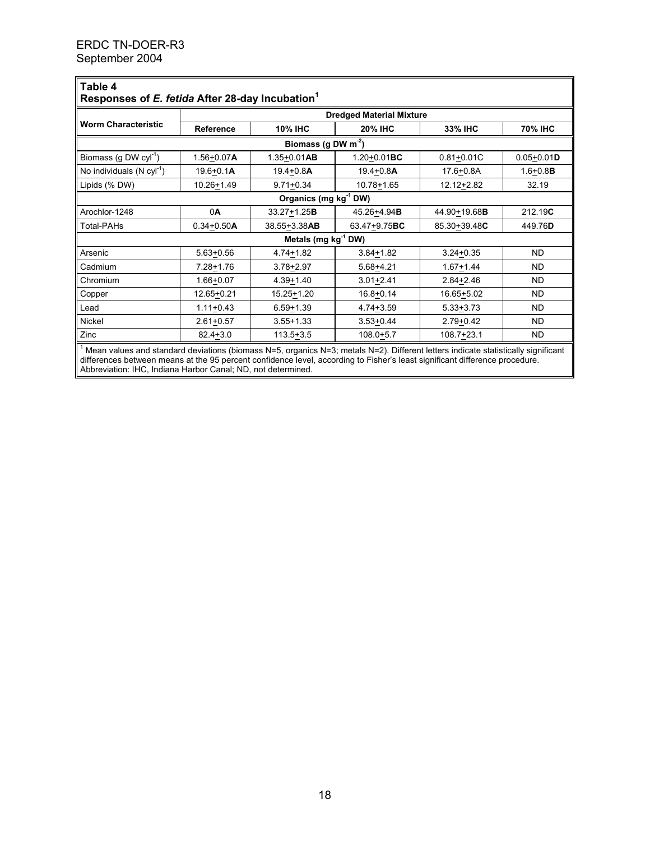| ∥Table 4<br>Responses of E. fetida After 28-day Incubation <sup>1</sup>                                                                                 |                                 |                                  |                  |                |                |  |  |  |  |
|---------------------------------------------------------------------------------------------------------------------------------------------------------|---------------------------------|----------------------------------|------------------|----------------|----------------|--|--|--|--|
|                                                                                                                                                         | <b>Dredged Material Mixture</b> |                                  |                  |                |                |  |  |  |  |
| <b>Worm Characteristic</b>                                                                                                                              | <b>Reference</b>                | <b>10% IHC</b><br><b>20% IHC</b> |                  | 33% IHC        | 70% IHC        |  |  |  |  |
| Biomass (g DW $m^2$ )                                                                                                                                   |                                 |                                  |                  |                |                |  |  |  |  |
| Biomass (g DW $cyI^{-1}$ )                                                                                                                              | $1.56 + 0.07A$                  | $1.35 + 0.01AB$                  | $1.20 + 0.01$ BC | $0.81 + 0.01C$ | $0.05 + 0.01D$ |  |  |  |  |
| No individuals $(N cyl^{-1})$                                                                                                                           | $19.6 + 0.1A$                   | 19.4+0.8A                        | $19.4 + 0.8A$    | 17.6+0.8A      | $1.6 + 0.8B$   |  |  |  |  |
| Lipids (% DW)                                                                                                                                           | 10.26+1.49                      | $9.71 + 0.34$                    | 10.78+1.65       | 12.12+2.82     | 32.19          |  |  |  |  |
| Organics (mg kg <sup>-1</sup> DW)                                                                                                                       |                                 |                                  |                  |                |                |  |  |  |  |
| Arochlor-1248                                                                                                                                           | 0A                              | $33.27 + 1.25B$                  | 45.26+4.94B      | 44.90+19.68B   | 212.19C        |  |  |  |  |
| <b>Total-PAHs</b>                                                                                                                                       | $0.34 + 0.50A$                  | 38.55+3.38AB                     | 63 47+9.75BC     | 85.30+39.48C   | 449.76D        |  |  |  |  |
|                                                                                                                                                         |                                 | Metals (mg $kg^{-1}$ DW)         |                  |                |                |  |  |  |  |
| Arsenic                                                                                                                                                 | 5.63+0.56                       | 4.74+1.82                        | $3.84 + 1.82$    | $3.24 + 0.35$  | <b>ND</b>      |  |  |  |  |
| Cadmium                                                                                                                                                 | 7.28+1.76                       | $3.78 + 2.97$                    | $5.68 + 4.21$    | $1.67 + 1.44$  | <b>ND</b>      |  |  |  |  |
| Chromium                                                                                                                                                | 1.66+0.07                       | $4.39 + 1.40$                    | $3.01 + 2.41$    | $2.84 + 2.46$  | <b>ND</b>      |  |  |  |  |
| Copper                                                                                                                                                  | 12.65+0.21                      | 15.25+1.20                       | $16.8 + 0.14$    | $16.65 + 5.02$ | <b>ND</b>      |  |  |  |  |
| Lead                                                                                                                                                    | $1.11+0.43$                     | $6.59 + 1.39$                    | 4.74+3.59        | $5.33 + 3.73$  | ND.            |  |  |  |  |
| Nickel                                                                                                                                                  | $2.61 + 0.57$                   | $3.55 + 1.33$                    | $3.53 + 0.44$    | $2.79 + 0.42$  | <b>ND</b>      |  |  |  |  |
| Zinc<br>$\parallel$ 1 Mean values and standard doviations (biomass N=5, erganics N=3; motals N=2). Different letters indicate statistically significant | $82.4 + 3.0$                    | $113.5 + 3.5$                    | $108.0 + 5.7$    | $108.7 + 23.1$ | <b>ND</b>      |  |  |  |  |

<sup>1</sup> Mean values and standard deviations (biomass N=5, organics N=3; metals N=2). Different letters indicate statistically significant differences between means at the 95 percent confidence level, according to Fisher's least significant difference procedure. Abbreviation: IHC, Indiana Harbor Canal; ND, not determined.